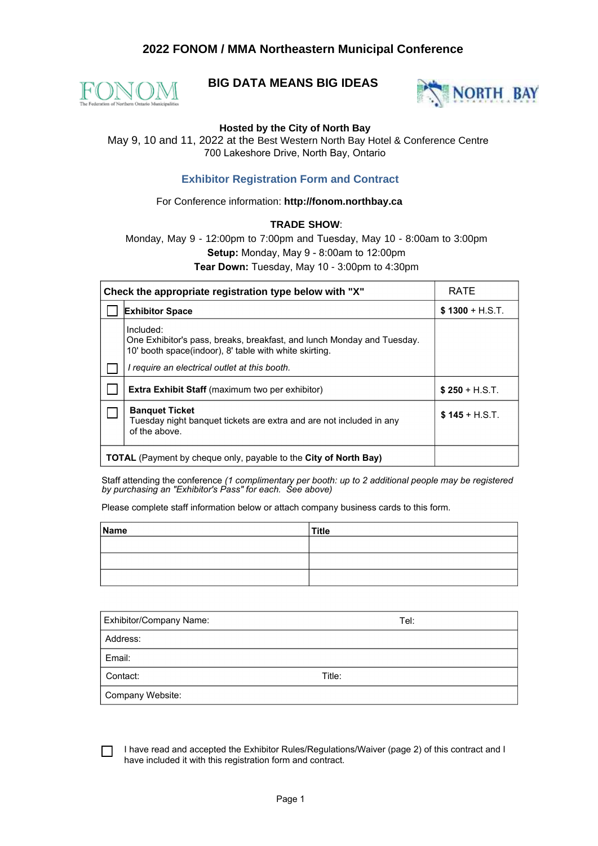# **2022 FONOM / MMA Northeastern Municipal Conference**



# **BIG DATA MEANS BIG IDEAS**



## **Hosted by the City of North Bay**

 May 9, 10 and 11, 2022 at the Best Western North Bay Hotel & Conference Centre 700 Lakeshore Drive, North Bay, Ontario

## **Exhibitor Registration Form and Contract**

### For Conference information: **http://fonom.northbay.ca**

### **TRADE SHOW**:

Monday, May 9 - 12:00pm to 7:00pm and Tuesday, May 10 - 8:00am to 3:00pm **Setup:** Monday, May 9 - 8:00am to 12:00pm **Tear Down:** Tuesday, May 10 - 3:00pm to 4:30pm

| Check the appropriate registration type below with "X"                                                                                                                                         | <b>RATE</b>      |
|------------------------------------------------------------------------------------------------------------------------------------------------------------------------------------------------|------------------|
| <b>Exhibitor Space</b>                                                                                                                                                                         | $$1300 + H.S.T.$ |
| Included:<br>One Exhibitor's pass, breaks, breakfast, and lunch Monday and Tuesday.<br>10' booth space(indoor), 8' table with white skirting.<br>I require an electrical outlet at this booth. |                  |
| <b>Extra Exhibit Staff</b> (maximum two per exhibitor)                                                                                                                                         | $$250 + H.S.T.$  |
| <b>Banguet Ticket</b><br>Tuesday night banguet tickets are extra and are not included in any<br>of the above.                                                                                  | $$145 + H.S.T.$  |
| <b>TOTAL</b> (Payment by cheque only, payable to the <b>City of North Bay)</b>                                                                                                                 |                  |

Staff attending the conference *(1 complimentary per booth: up to 2 additional people may be registered by purchasing an "Exhibitor's Pass" for each. See above)*

Please complete staff information below or attach company business cards to this form.

| Name | Title |
|------|-------|
|      |       |
|      |       |
|      |       |

| Exhibitor/Company Name: | Tel:   |
|-------------------------|--------|
| Address:                |        |
| Email:                  |        |
| Contact:                | Title: |
| Company Website:        |        |

I have read and accepted the Exhibitor Rules/Regulations/Waiver (page 2) of this contract and I have included it with this registration form and contract.